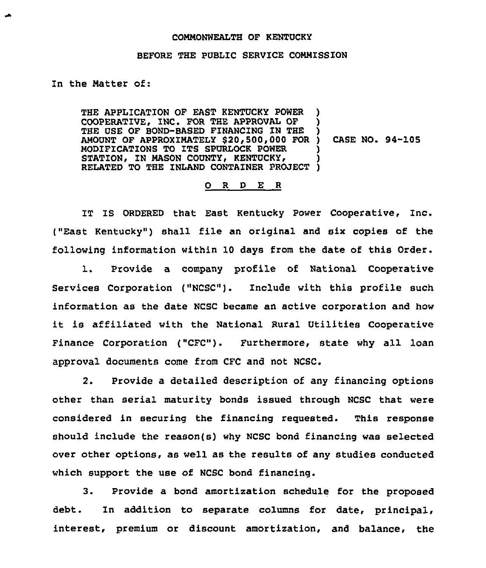## COMMONWEALTH OF KENTUCKY

## BEFORE THE PUBLIC SERVICE COMMISSION

## In the Matter of:

THE APPLICATION OF EAST KENTUCKY POWER COOPERATIVE, INC. FOR THE APPROVAL OF THE USE OF BOND-BASED FINANCING ZN THE THE USE OF BOND-BASED FINANCING IN THE )<br>AMOUNT OF APPROXIMATELY \$20,500,000 FOR ) CASE NO. 94-105 MODIFICATIONS TO ITS SPURLOCK POWER STATION, IN MASON COUNTY, KENTUCKY, RELATED TO THE INLAND CONTAINER PROJECT <u>ן</u> ) ) ) )

## 0 <sup>R</sup> <sup>D</sup> E <sup>R</sup>

IT IS ORDERED that East Kentucky Power Cooperative, Inc. ("East Kentucky") shall file an original and six copies of the following information within 10 days from the date of this Order.

1. Provide a company profile of National Cooperative Services Corporation ("NCSC"). Include with this profile such information as the date NCSC became an active corporation and how it is affiliated with the National Rural Utilities Cooperative Finance Corporation ("CFC"). Furthermore, state why all loan approval documents come from CFC and not NCSC.

2. Provide a detailed description of any financing options other than serial maturity bonds issued through NCSC that were considered in securing the financing requested. This response should include the reason(s) why NCSC bond financing was selected over other options, as well as the results of any studies conducted which support the use of NCSC bond financing.

3. Provide a bond amortization schedule for the proposed debt. In addition to separate columns for date, principal, interest, premium or discount amortization, and balance, the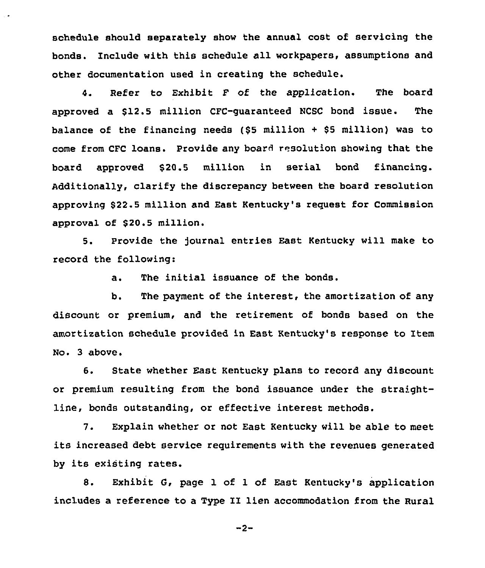schedule should separately show the annual cost of servicing the bonds. Include with this schedule all workpapers, assumptions and other documentation used in creating the schedule.

4. Refer to Exhibit F of the application. The board approved a \$12.5 million CFC-quaranteed NCSC bond issue. The balance of the financing needs (\$<sup>5</sup> million <sup>+</sup> \$<sup>5</sup> million} was to come from CFC loans. Provide any board resolution showing that the board approved \$20.5 million in serial bond financing. Additionally, clarify the discrepancy between the board resolution approving \$22.5 million and East Kentucky's request for Commission approval of \$20.5 million.

5. Provide the journal entries East Kentucky will make to record the following:

a. The initial issuance of the bonds.

b. The payment of the interest, the amortization of any discount or premium, and the retirement of bonds based on the amortization schedule provided in East Kentucky's response to Item No. 3 above.

6. State whether East Kentucky plans to record any discount or premium resulting from the bond issuance under the straightline, bonds outstanding, or effective interest methods.

7. Explain whether or not East Kentucky will be able to meet its increased debt service requirements with the revenues generated by its existing rates.

8. Exhibit G, page 1 of 1 of East Kentucky's application includes a reference to <sup>a</sup> Type II lien accommodation from the Rural

 $-2-$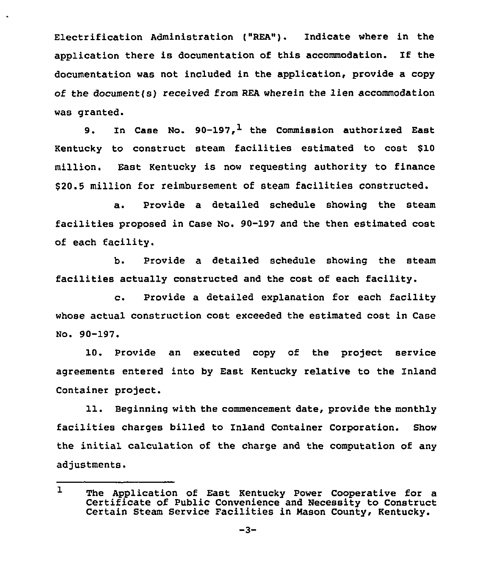Electrification Administration ("REA"). Indicate where in the application there is documentation of this accommodation. If the documentation was not included in the application, provide a copy of the document(s) received from REA wherein the lien accommodation was granted.

9. In Case No.  $90-197$ .<sup>1</sup> the Commission authorized East Kentucky to construct steam facilities estimated to cost \$10 million. East Kentucky is now reguesting authority to finance \$ 20.5 million for reimbursement of steam facilities constructed.

a. Provide a detailed schedule showing the steam facilities proposed in Case No. 90-197 and the then estimated cost of each facility.

b. Provide a detailed schedule showing the steam facilities actually constructed and the cost of each facility.

c. Provide <sup>a</sup> detailed explanation for each facility whose actual construction cost exceeded the estimated cost in Case No. 90-197.

10. Provide an executed copy of the project service agreements entered into by East Kentucky relative to the Inland Container project.

11. Beginning with the commencement date, provide the monthly facilities charges billed to Inland Container Corporation. Show the initial calculation of the charge and the computation of any adjustments.

ı The Application of East Kentucky Power Cooperative for a Certificate of Public Convenience and Necessity to Construct Certain Steam Service Facilities in Mason County, Kentucky.